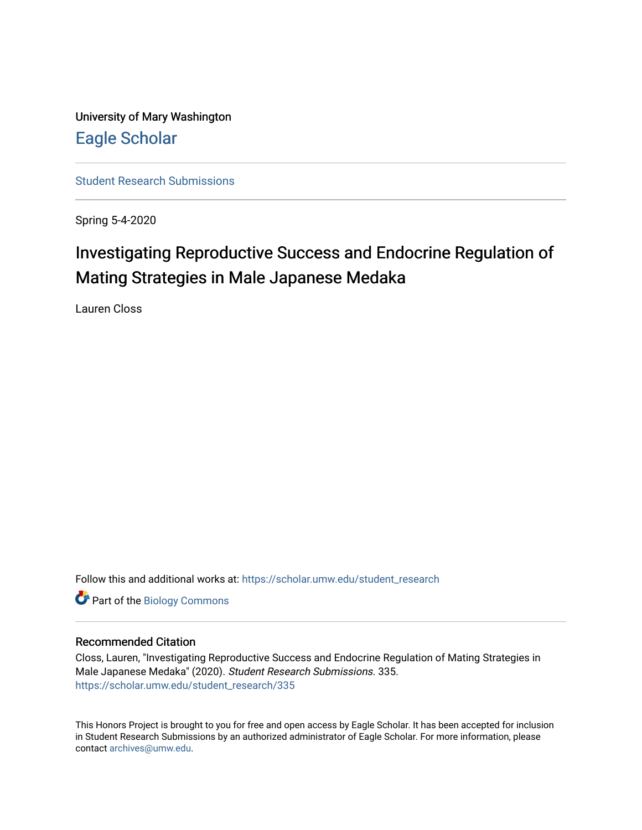University of Mary Washington [Eagle Scholar](https://scholar.umw.edu/) 

[Student Research Submissions](https://scholar.umw.edu/student_research) 

Spring 5-4-2020

# Investigating Reproductive Success and Endocrine Regulation of Mating Strategies in Male Japanese Medaka

Lauren Closs

Follow this and additional works at: [https://scholar.umw.edu/student\\_research](https://scholar.umw.edu/student_research?utm_source=scholar.umw.edu%2Fstudent_research%2F335&utm_medium=PDF&utm_campaign=PDFCoverPages)

Part of the [Biology Commons](http://network.bepress.com/hgg/discipline/41?utm_source=scholar.umw.edu%2Fstudent_research%2F335&utm_medium=PDF&utm_campaign=PDFCoverPages) 

#### Recommended Citation

Closs, Lauren, "Investigating Reproductive Success and Endocrine Regulation of Mating Strategies in Male Japanese Medaka" (2020). Student Research Submissions. 335. [https://scholar.umw.edu/student\\_research/335](https://scholar.umw.edu/student_research/335?utm_source=scholar.umw.edu%2Fstudent_research%2F335&utm_medium=PDF&utm_campaign=PDFCoverPages)

This Honors Project is brought to you for free and open access by Eagle Scholar. It has been accepted for inclusion in Student Research Submissions by an authorized administrator of Eagle Scholar. For more information, please contact [archives@umw.edu](mailto:archives@umw.edu).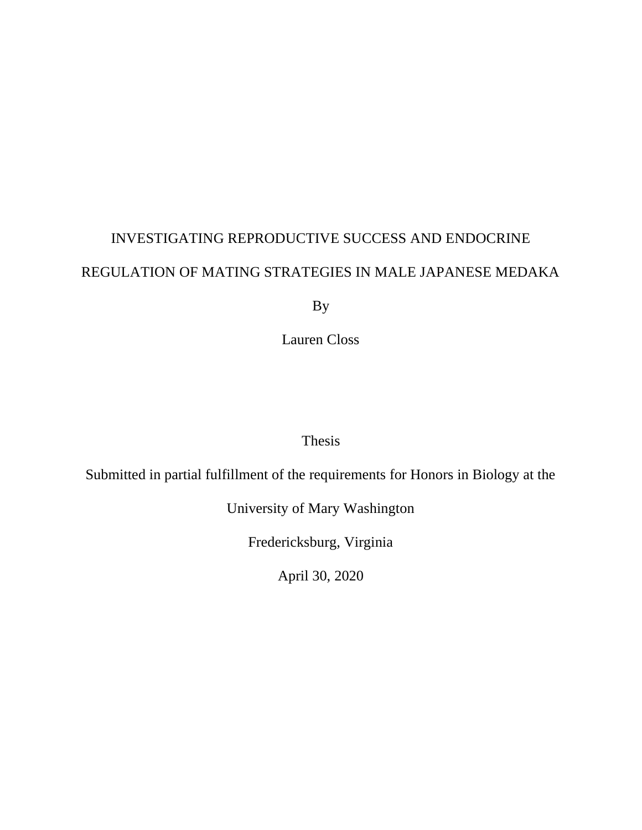# INVESTIGATING REPRODUCTIVE SUCCESS AND ENDOCRINE REGULATION OF MATING STRATEGIES IN MALE JAPANESE MEDAKA

By

Lauren Closs

# Thesis

Submitted in partial fulfillment of the requirements for Honors in Biology at the

University of Mary Washington

Fredericksburg, Virginia

April 30, 2020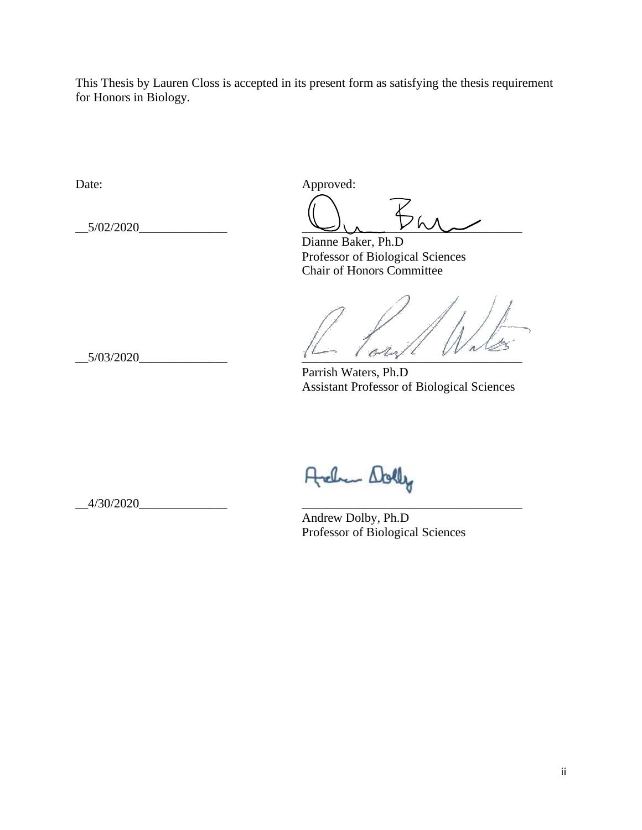This Thesis by Lauren Closs is accepted in its present form as satisfying the thesis requirement for Honors in Biology.

Date: Approved:

 $\bigcup_{\mathcal{A}}\bigoplus_{\mathcal{A}}\mathcal{A}$ 

Dianne Baker, Ph.D Professor of Biological Sciences Chair of Honors Committee

 $\frac{1}{16}\sqrt{16\pi}}$ 

Parrish Waters, Ph.D Assistant Professor of Biological Sciences

Archen Dolly

Andrew Dolby, Ph.D Professor of Biological Sciences

 $-4/30/2020$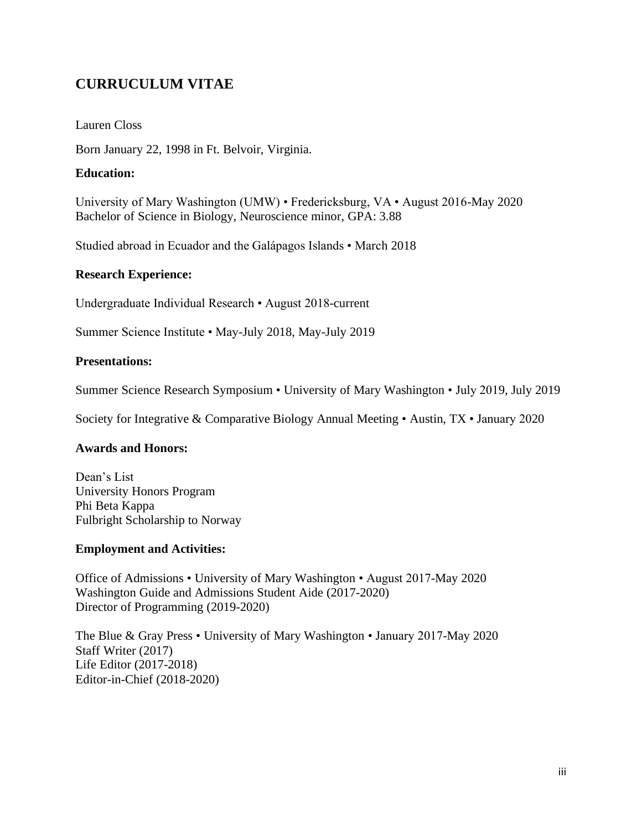# **CURRUCULUM VITAE**

# Lauren Closs

Born January 22, 1998 in Ft. Belvoir, Virginia.

# **Education:**

University of Mary Washington (UMW) • Fredericksburg, VA • August 2016-May 2020 Bachelor of Science in Biology, Neuroscience minor, GPA: 3.88

Studied abroad in Ecuador and the Galápagos Islands • March 2018

# **Research Experience:**

Undergraduate Individual Research • August 2018-current

Summer Science Institute • May-July 2018, May-July 2019

# **Presentations:**

Summer Science Research Symposium • University of Mary Washington • July 2019, July 2019

Society for Integrative & Comparative Biology Annual Meeting • Austin, TX • January 2020

# **Awards and Honors:**

Dean's List University Honors Program Phi Beta Kappa Fulbright Scholarship to Norway

# **Employment and Activities:**

Office of Admissions • University of Mary Washington • August 2017-May 2020 Washington Guide and Admissions Student Aide (2017-2020) Director of Programming (2019-2020)

The Blue & Gray Press • University of Mary Washington • January 2017-May 2020 Staff Writer (2017) Life Editor (2017-2018) Editor-in-Chief (2018-2020)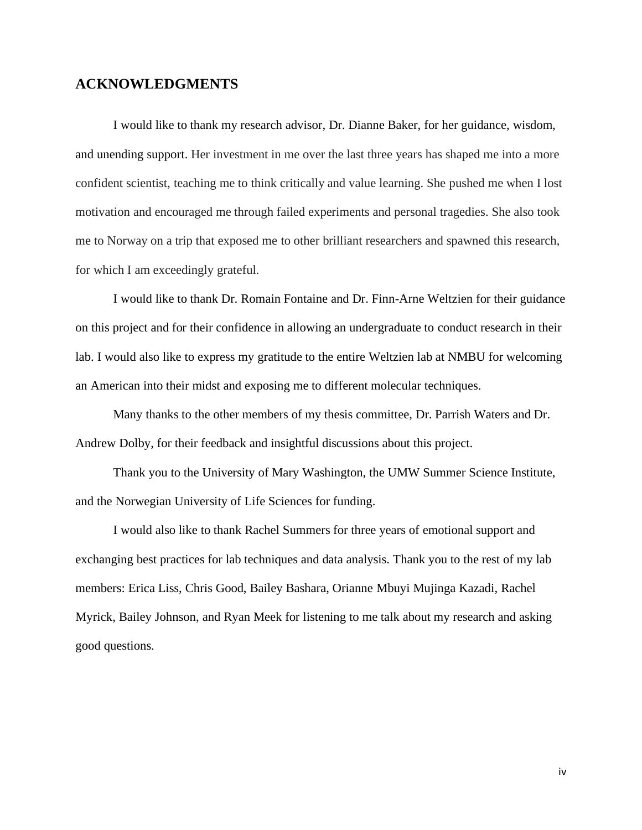# **ACKNOWLEDGMENTS**

I would like to thank my research advisor, Dr. Dianne Baker, for her guidance, wisdom, and unending support. Her investment in me over the last three years has shaped me into a more confident scientist, teaching me to think critically and value learning. She pushed me when I lost motivation and encouraged me through failed experiments and personal tragedies. She also took me to Norway on a trip that exposed me to other brilliant researchers and spawned this research, for which I am exceedingly grateful.

I would like to thank Dr. Romain Fontaine and Dr. Finn-Arne Weltzien for their guidance on this project and for their confidence in allowing an undergraduate to conduct research in their lab. I would also like to express my gratitude to the entire Weltzien lab at NMBU for welcoming an American into their midst and exposing me to different molecular techniques.

Many thanks to the other members of my thesis committee, Dr. Parrish Waters and Dr. Andrew Dolby, for their feedback and insightful discussions about this project.

Thank you to the University of Mary Washington, the UMW Summer Science Institute, and the Norwegian University of Life Sciences for funding.

I would also like to thank Rachel Summers for three years of emotional support and exchanging best practices for lab techniques and data analysis. Thank you to the rest of my lab members: Erica Liss, Chris Good, Bailey Bashara, Orianne Mbuyi Mujinga Kazadi, Rachel Myrick, Bailey Johnson, and Ryan Meek for listening to me talk about my research and asking good questions.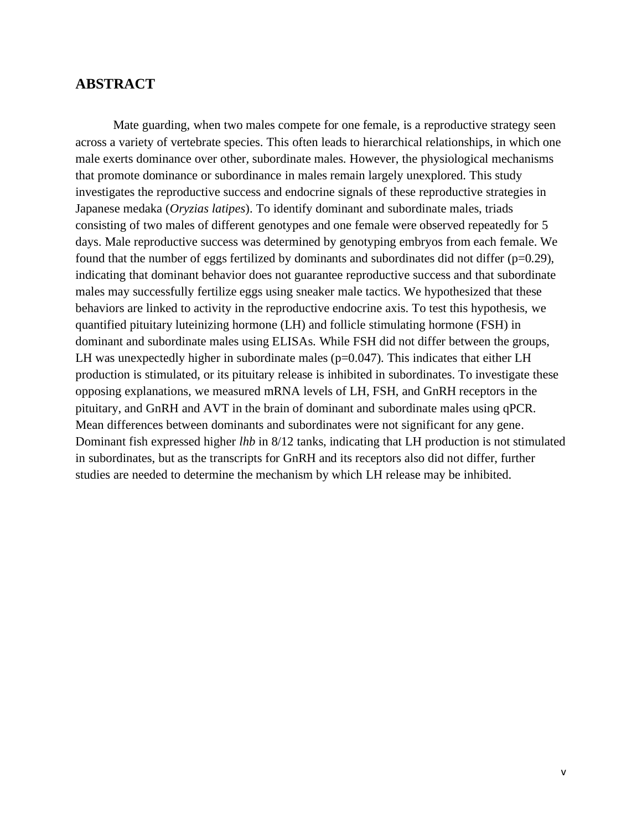# **ABSTRACT**

Mate guarding, when two males compete for one female, is a reproductive strategy seen across a variety of vertebrate species. This often leads to hierarchical relationships, in which one male exerts dominance over other, subordinate males. However, the physiological mechanisms that promote dominance or subordinance in males remain largely unexplored. This study investigates the reproductive success and endocrine signals of these reproductive strategies in Japanese medaka (*Oryzias latipes*). To identify dominant and subordinate males, triads consisting of two males of different genotypes and one female were observed repeatedly for 5 days. Male reproductive success was determined by genotyping embryos from each female. We found that the number of eggs fertilized by dominants and subordinates did not differ (p=0.29), indicating that dominant behavior does not guarantee reproductive success and that subordinate males may successfully fertilize eggs using sneaker male tactics. We hypothesized that these behaviors are linked to activity in the reproductive endocrine axis. To test this hypothesis, we quantified pituitary luteinizing hormone (LH) and follicle stimulating hormone (FSH) in dominant and subordinate males using ELISAs. While FSH did not differ between the groups, LH was unexpectedly higher in subordinate males ( $p=0.047$ ). This indicates that either LH production is stimulated, or its pituitary release is inhibited in subordinates. To investigate these opposing explanations, we measured mRNA levels of LH, FSH, and GnRH receptors in the pituitary, and GnRH and AVT in the brain of dominant and subordinate males using qPCR. Mean differences between dominants and subordinates were not significant for any gene. Dominant fish expressed higher *lhb* in 8/12 tanks, indicating that LH production is not stimulated in subordinates, but as the transcripts for GnRH and its receptors also did not differ, further studies are needed to determine the mechanism by which LH release may be inhibited.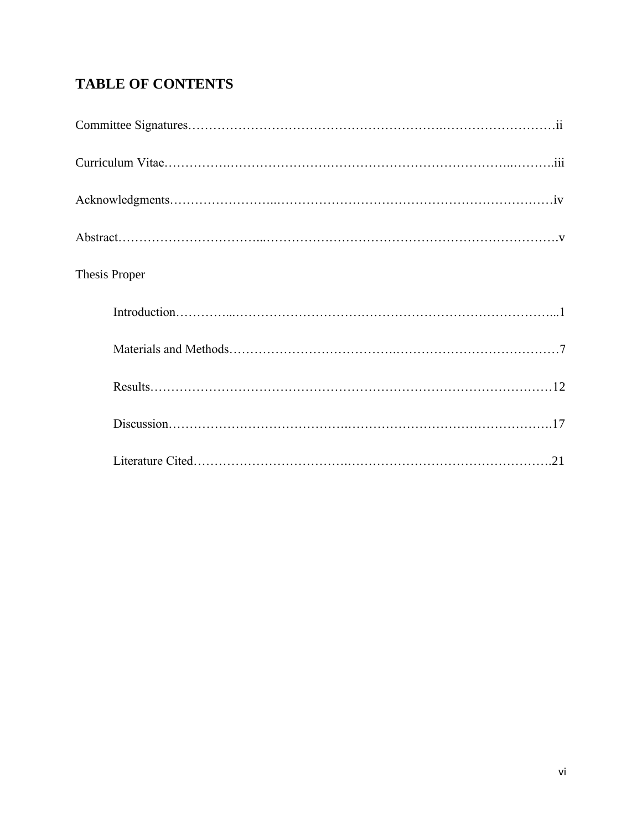# **TABLE OF CONTENTS**

| Thesis Proper |
|---------------|
|               |
|               |
|               |
|               |
|               |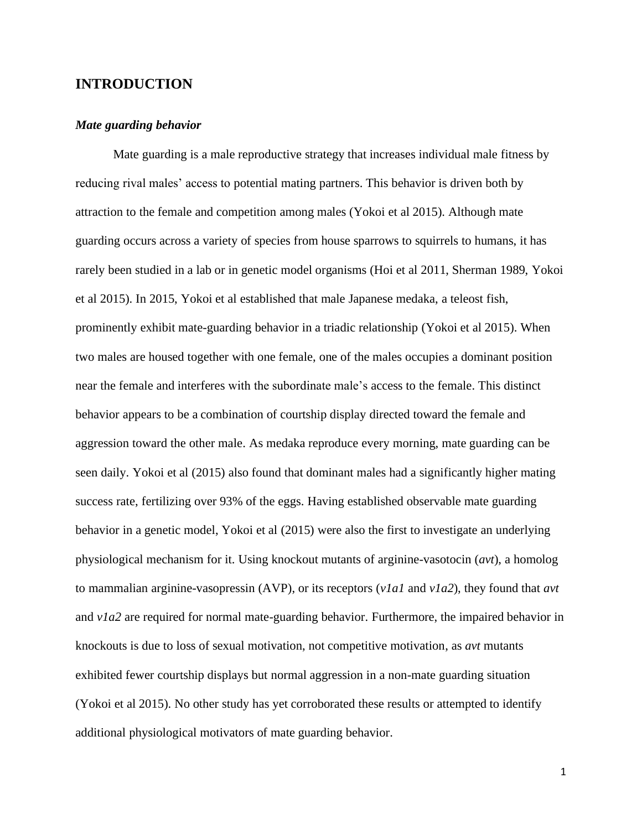# **INTRODUCTION**

#### *Mate guarding behavior*

Mate guarding is a male reproductive strategy that increases individual male fitness by reducing rival males' access to potential mating partners. This behavior is driven both by attraction to the female and competition among males (Yokoi et al 2015). Although mate guarding occurs across a variety of species from house sparrows to squirrels to humans, it has rarely been studied in a lab or in genetic model organisms (Hoi et al 2011, Sherman 1989, Yokoi et al 2015). In 2015, Yokoi et al established that male Japanese medaka, a teleost fish, prominently exhibit mate-guarding behavior in a triadic relationship (Yokoi et al 2015). When two males are housed together with one female, one of the males occupies a dominant position near the female and interferes with the subordinate male's access to the female. This distinct behavior appears to be a combination of courtship display directed toward the female and aggression toward the other male. As medaka reproduce every morning, mate guarding can be seen daily. Yokoi et al (2015) also found that dominant males had a significantly higher mating success rate, fertilizing over 93% of the eggs. Having established observable mate guarding behavior in a genetic model, Yokoi et al (2015) were also the first to investigate an underlying physiological mechanism for it. Using knockout mutants of arginine-vasotocin (*avt*), a homolog to mammalian arginine-vasopressin (AVP), or its receptors (*v1a1* and *v1a2*), they found that *avt* and *v1a2* are required for normal mate-guarding behavior. Furthermore, the impaired behavior in knockouts is due to loss of sexual motivation, not competitive motivation, as *avt* mutants exhibited fewer courtship displays but normal aggression in a non-mate guarding situation (Yokoi et al 2015). No other study has yet corroborated these results or attempted to identify additional physiological motivators of mate guarding behavior.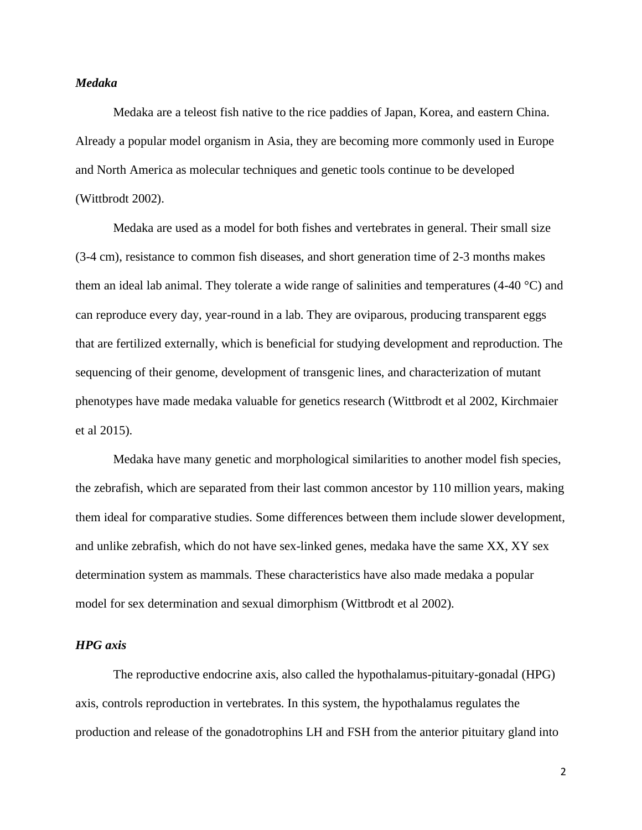#### *Medaka*

Medaka are a teleost fish native to the rice paddies of Japan, Korea, and eastern China. Already a popular model organism in Asia, they are becoming more commonly used in Europe and North America as molecular techniques and genetic tools continue to be developed (Wittbrodt 2002).

Medaka are used as a model for both fishes and vertebrates in general. Their small size (3-4 cm), resistance to common fish diseases, and short generation time of 2-3 months makes them an ideal lab animal. They tolerate a wide range of salinities and temperatures (4-40 °C) and can reproduce every day, year-round in a lab. They are oviparous, producing transparent eggs that are fertilized externally, which is beneficial for studying development and reproduction. The sequencing of their genome, development of transgenic lines, and characterization of mutant phenotypes have made medaka valuable for genetics research (Wittbrodt et al 2002, Kirchmaier et al 2015).

Medaka have many genetic and morphological similarities to another model fish species, the zebrafish, which are separated from their last common ancestor by 110 million years, making them ideal for comparative studies. Some differences between them include slower development, and unlike zebrafish, which do not have sex-linked genes, medaka have the same XX, XY sex determination system as mammals. These characteristics have also made medaka a popular model for sex determination and sexual dimorphism (Wittbrodt et al 2002).

#### *HPG axis*

The reproductive endocrine axis, also called the hypothalamus-pituitary-gonadal (HPG) axis, controls reproduction in vertebrates. In this system, the hypothalamus regulates the production and release of the gonadotrophins LH and FSH from the anterior pituitary gland into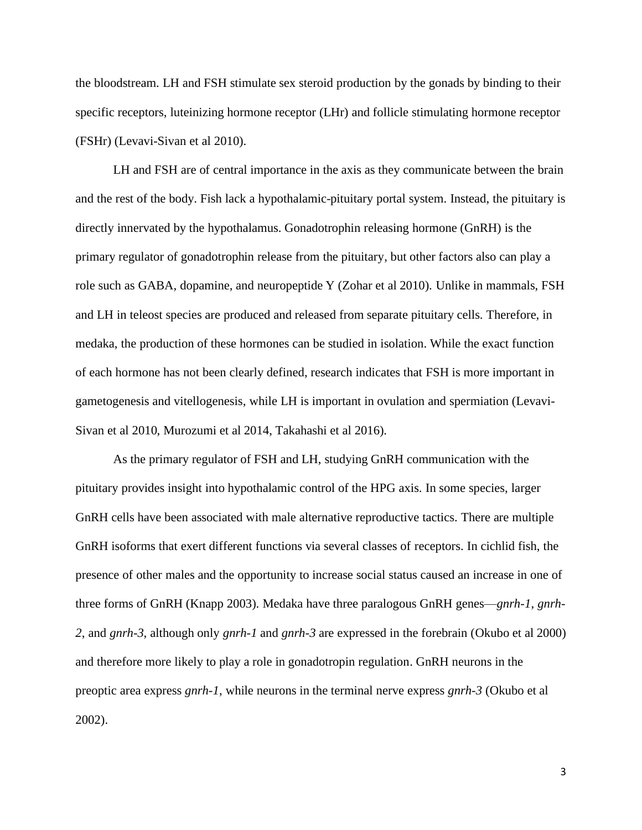the bloodstream. LH and FSH stimulate sex steroid production by the gonads by binding to their specific receptors, luteinizing hormone receptor (LHr) and follicle stimulating hormone receptor (FSHr) (Levavi-Sivan et al 2010).

LH and FSH are of central importance in the axis as they communicate between the brain and the rest of the body. Fish lack a hypothalamic-pituitary portal system. Instead, the pituitary is directly innervated by the hypothalamus. Gonadotrophin releasing hormone (GnRH) is the primary regulator of gonadotrophin release from the pituitary, but other factors also can play a role such as GABA, dopamine, and neuropeptide Y (Zohar et al 2010). Unlike in mammals, FSH and LH in teleost species are produced and released from separate pituitary cells. Therefore, in medaka, the production of these hormones can be studied in isolation. While the exact function of each hormone has not been clearly defined, research indicates that FSH is more important in gametogenesis and vitellogenesis, while LH is important in ovulation and spermiation (Levavi-Sivan et al 2010, Murozumi et al 2014, Takahashi et al 2016).

As the primary regulator of FSH and LH, studying GnRH communication with the pituitary provides insight into hypothalamic control of the HPG axis. In some species, larger GnRH cells have been associated with male alternative reproductive tactics. There are multiple GnRH isoforms that exert different functions via several classes of receptors. In cichlid fish, the presence of other males and the opportunity to increase social status caused an increase in one of three forms of GnRH (Knapp 2003). Medaka have three paralogous GnRH genes—*gnrh-1*, *gnrh-2*, and *gnrh-3*, although only *gnrh-1* and *gnrh-3* are expressed in the forebrain (Okubo et al 2000) and therefore more likely to play a role in gonadotropin regulation. GnRH neurons in the preoptic area express *gnrh-1*, while neurons in the terminal nerve express *gnrh-3* (Okubo et al 2002).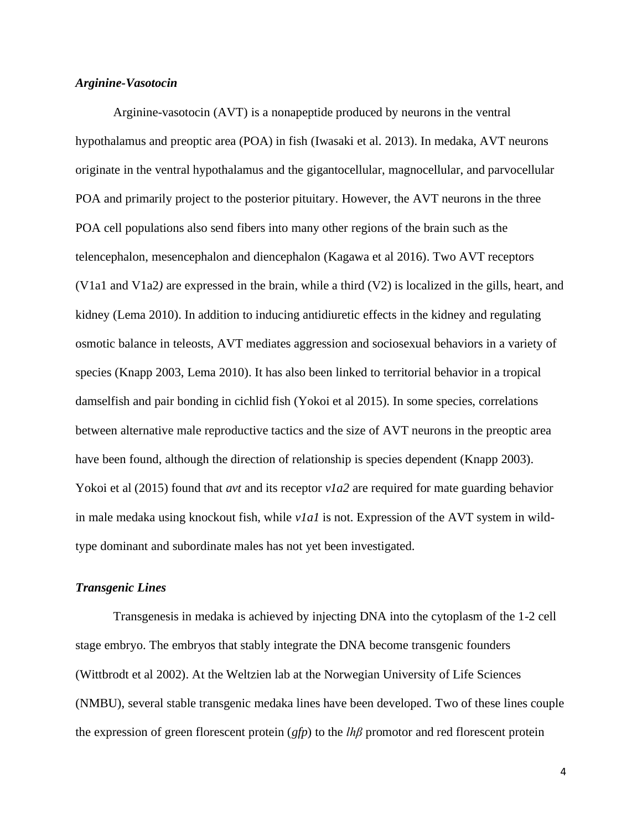#### *Arginine-Vasotocin*

Arginine-vasotocin (AVT) is a nonapeptide produced by neurons in the ventral hypothalamus and preoptic area (POA) in fish (Iwasaki et al. 2013). In medaka, AVT neurons originate in the ventral hypothalamus and the gigantocellular, magnocellular, and parvocellular POA and primarily project to the posterior pituitary. However, the AVT neurons in the three POA cell populations also send fibers into many other regions of the brain such as the telencephalon, mesencephalon and diencephalon (Kagawa et al 2016). Two AVT receptors (V1a1 and V1a2*)* are expressed in the brain, while a third (V2) is localized in the gills, heart, and kidney (Lema 2010). In addition to inducing antidiuretic effects in the kidney and regulating osmotic balance in teleosts, AVT mediates aggression and sociosexual behaviors in a variety of species (Knapp 2003, Lema 2010). It has also been linked to territorial behavior in a tropical damselfish and pair bonding in cichlid fish (Yokoi et al 2015). In some species, correlations between alternative male reproductive tactics and the size of AVT neurons in the preoptic area have been found, although the direction of relationship is species dependent (Knapp 2003). Yokoi et al (2015) found that *avt* and its receptor *vla2* are required for mate guarding behavior in male medaka using knockout fish, while *v1a1* is not. Expression of the AVT system in wildtype dominant and subordinate males has not yet been investigated.

#### *Transgenic Lines*

Transgenesis in medaka is achieved by injecting DNA into the cytoplasm of the 1-2 cell stage embryo. The embryos that stably integrate the DNA become transgenic founders (Wittbrodt et al 2002). At the Weltzien lab at the Norwegian University of Life Sciences (NMBU), several stable transgenic medaka lines have been developed. Two of these lines couple the expression of green florescent protein (*gfp*) to the *lhβ* promotor and red florescent protein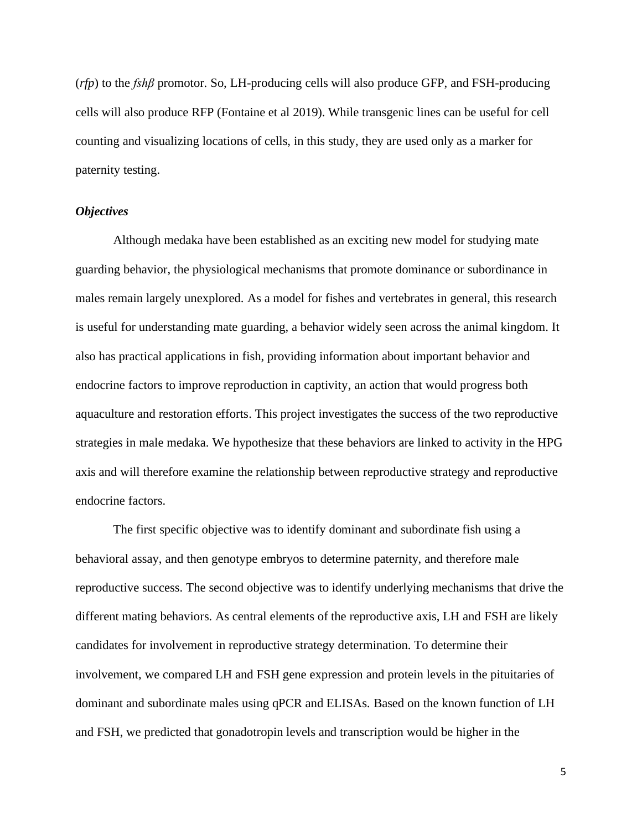(*rfp*) to the *fshβ* promotor. So, LH-producing cells will also produce GFP, and FSH-producing cells will also produce RFP (Fontaine et al 2019). While transgenic lines can be useful for cell counting and visualizing locations of cells, in this study, they are used only as a marker for paternity testing.

#### *Objectives*

Although medaka have been established as an exciting new model for studying mate guarding behavior, the physiological mechanisms that promote dominance or subordinance in males remain largely unexplored. As a model for fishes and vertebrates in general, this research is useful for understanding mate guarding, a behavior widely seen across the animal kingdom. It also has practical applications in fish, providing information about important behavior and endocrine factors to improve reproduction in captivity, an action that would progress both aquaculture and restoration efforts. This project investigates the success of the two reproductive strategies in male medaka. We hypothesize that these behaviors are linked to activity in the HPG axis and will therefore examine the relationship between reproductive strategy and reproductive endocrine factors.

The first specific objective was to identify dominant and subordinate fish using a behavioral assay, and then genotype embryos to determine paternity, and therefore male reproductive success. The second objective was to identify underlying mechanisms that drive the different mating behaviors. As central elements of the reproductive axis, LH and FSH are likely candidates for involvement in reproductive strategy determination. To determine their involvement, we compared LH and FSH gene expression and protein levels in the pituitaries of dominant and subordinate males using qPCR and ELISAs. Based on the known function of LH and FSH, we predicted that gonadotropin levels and transcription would be higher in the

5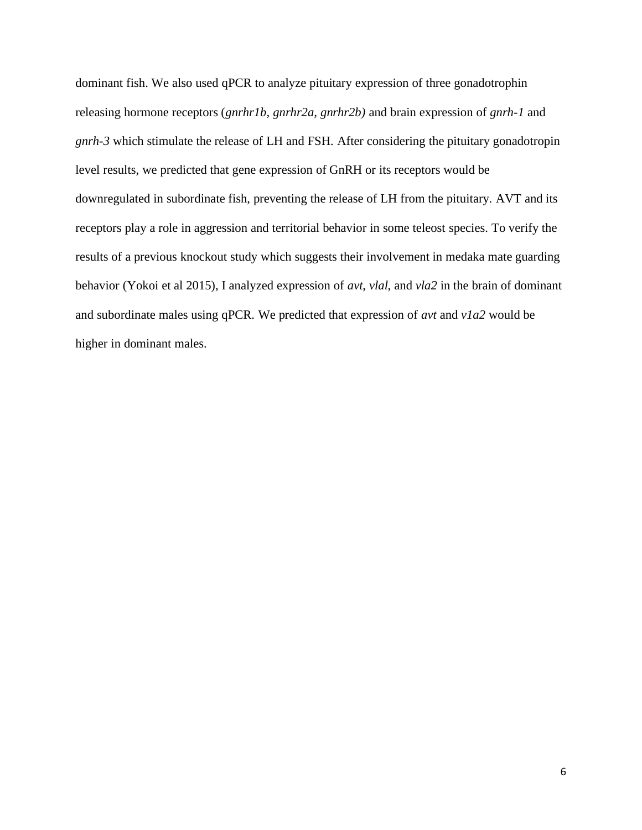dominant fish. We also used qPCR to analyze pituitary expression of three gonadotrophin releasing hormone receptors (*gnrhr1b, gnrhr2a, gnrhr2b)* and brain expression of *gnrh-1* and *gnrh-3* which stimulate the release of LH and FSH. After considering the pituitary gonadotropin level results, we predicted that gene expression of GnRH or its receptors would be downregulated in subordinate fish, preventing the release of LH from the pituitary. AVT and its receptors play a role in aggression and territorial behavior in some teleost species. To verify the results of a previous knockout study which suggests their involvement in medaka mate guarding behavior (Yokoi et al 2015), I analyzed expression of *avt*, *vlal*, and *vla2* in the brain of dominant and subordinate males using qPCR. We predicted that expression of *avt* and *v1a2* would be higher in dominant males.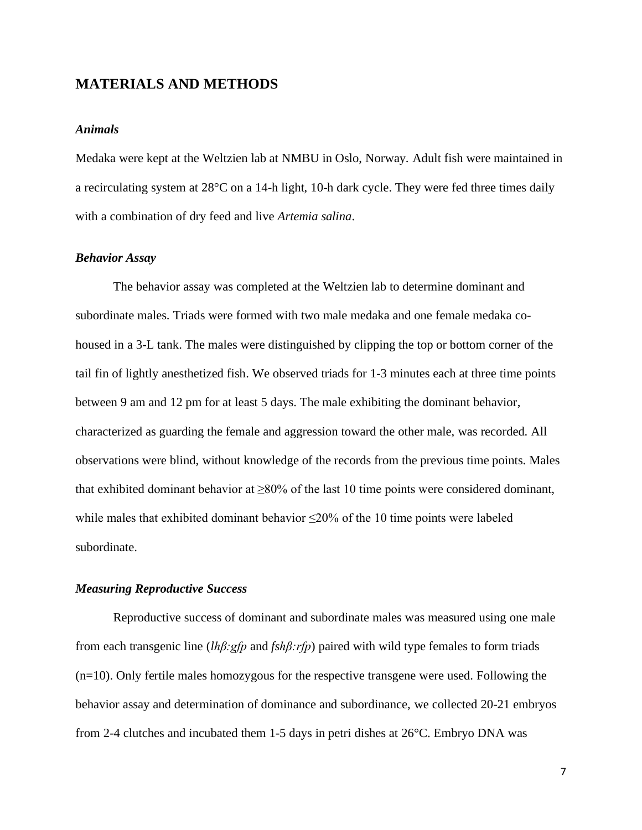# **MATERIALS AND METHODS**

#### *Animals*

Medaka were kept at the Weltzien lab at NMBU in Oslo, Norway. Adult fish were maintained in a recirculating system at 28°C on a 14-h light, 10-h dark cycle. They were fed three times daily with a combination of dry feed and live *Artemia salina*.

#### *Behavior Assay*

The behavior assay was completed at the Weltzien lab to determine dominant and subordinate males. Triads were formed with two male medaka and one female medaka cohoused in a 3-L tank. The males were distinguished by clipping the top or bottom corner of the tail fin of lightly anesthetized fish. We observed triads for 1-3 minutes each at three time points between 9 am and 12 pm for at least 5 days. The male exhibiting the dominant behavior, characterized as guarding the female and aggression toward the other male, was recorded. All observations were blind, without knowledge of the records from the previous time points. Males that exhibited dominant behavior at  $\geq 80\%$  of the last 10 time points were considered dominant, while males that exhibited dominant behavior  $\leq$ 20% of the 10 time points were labeled subordinate.

#### *Measuring Reproductive Success*

Reproductive success of dominant and subordinate males was measured using one male from each transgenic line (*lhβ:gfp* and *fshβ:rfp*) paired with wild type females to form triads (n=10). Only fertile males homozygous for the respective transgene were used. Following the behavior assay and determination of dominance and subordinance, we collected 20-21 embryos from 2-4 clutches and incubated them 1-5 days in petri dishes at 26°C. Embryo DNA was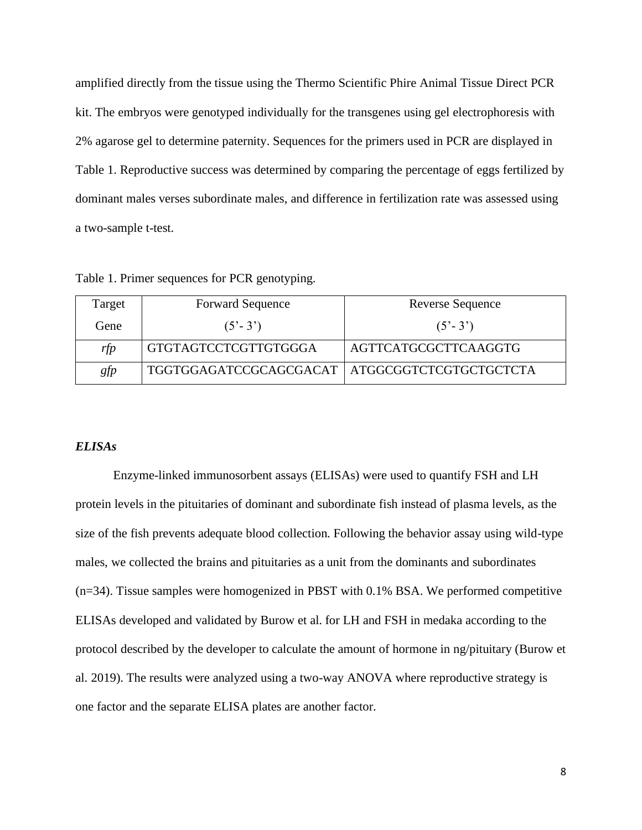amplified directly from the tissue using the Thermo Scientific Phire Animal Tissue Direct PCR kit. The embryos were genotyped individually for the transgenes using gel electrophoresis with 2% agarose gel to determine paternity. Sequences for the primers used in PCR are displayed in Table 1. Reproductive success was determined by comparing the percentage of eggs fertilized by dominant males verses subordinate males, and difference in fertilization rate was assessed using a two-sample t-test.

Table 1. Primer sequences for PCR genotyping.

| Target            | <b>Forward Sequence</b>                         | <b>Reverse Sequence</b>     |
|-------------------|-------------------------------------------------|-----------------------------|
| Gene <sup>T</sup> | $(5^{\circ} - 3^{\circ})$                       | $(5^{\circ} - 3^{\circ})$   |
| rfp               | <b>GTGTAGTCCTCGTTGTGGGA</b>                     | <b>AGTTCATGCGCTTCAAGGTG</b> |
| gfp               | TGGTGGAGATCCGCAGCGACAT   ATGGCGGTCTCGTGCTGCTCTA |                             |

#### *ELISAs*

Enzyme-linked immunosorbent assays (ELISAs) were used to quantify FSH and LH protein levels in the pituitaries of dominant and subordinate fish instead of plasma levels, as the size of the fish prevents adequate blood collection. Following the behavior assay using wild-type males, we collected the brains and pituitaries as a unit from the dominants and subordinates (n=34). Tissue samples were homogenized in PBST with 0.1% BSA. We performed competitive ELISAs developed and validated by Burow et al. for LH and FSH in medaka according to the protocol described by the developer to calculate the amount of hormone in ng/pituitary (Burow et al. 2019). The results were analyzed using a two-way ANOVA where reproductive strategy is one factor and the separate ELISA plates are another factor.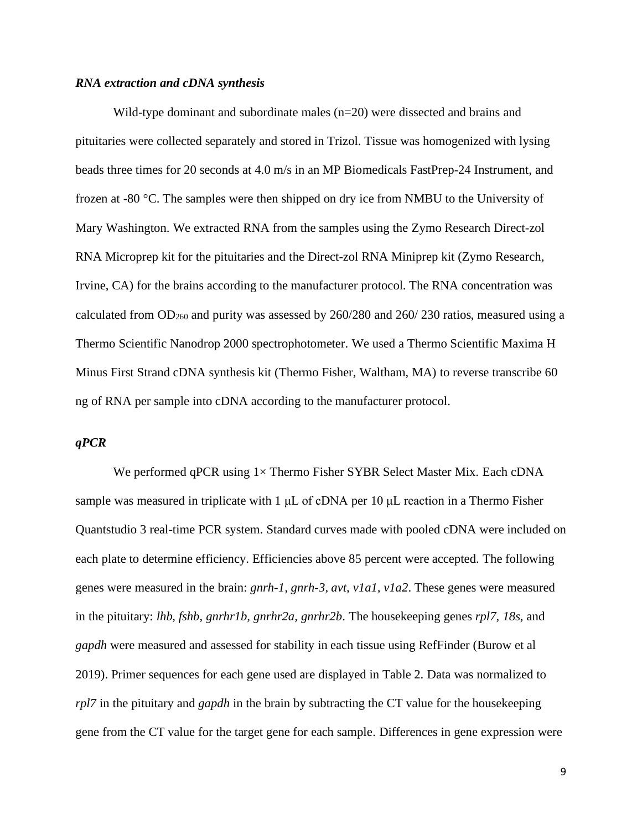#### *RNA extraction and cDNA synthesis*

Wild-type dominant and subordinate males  $(n=20)$  were dissected and brains and pituitaries were collected separately and stored in Trizol. Tissue was homogenized with lysing beads three times for 20 seconds at 4.0 m/s in an MP Biomedicals FastPrep-24 Instrument, and frozen at -80 °C. The samples were then shipped on dry ice from NMBU to the University of Mary Washington. We extracted RNA from the samples using the Zymo Research Direct-zol RNA Microprep kit for the pituitaries and the Direct-zol RNA Miniprep kit (Zymo Research, Irvine, CA) for the brains according to the manufacturer protocol. The RNA concentration was calculated from  $OD_{260}$  and purity was assessed by 260/280 and 260/230 ratios, measured using a Thermo Scientific Nanodrop 2000 spectrophotometer. We used a Thermo Scientific Maxima H Minus First Strand cDNA synthesis kit (Thermo Fisher, Waltham, MA) to reverse transcribe 60 ng of RNA per sample into cDNA according to the manufacturer protocol.

#### *qPCR*

We performed qPCR using  $1 \times$  Thermo Fisher SYBR Select Master Mix. Each cDNA sample was measured in triplicate with 1 μL of cDNA per 10 μL reaction in a Thermo Fisher Quantstudio 3 real-time PCR system. Standard curves made with pooled cDNA were included on each plate to determine efficiency. Efficiencies above 85 percent were accepted. The following genes were measured in the brain: *gnrh-1, gnrh-3, avt, v1a1, v1a2*. These genes were measured in the pituitary: *lhb, fshb, gnrhr1b, gnrhr2a, gnrhr2b*. The housekeeping genes *rpl7*, *18s*, and *gapdh* were measured and assessed for stability in each tissue using RefFinder (Burow et al 2019). Primer sequences for each gene used are displayed in Table 2. Data was normalized to *rpl7* in the pituitary and *gapdh* in the brain by subtracting the CT value for the housekeeping gene from the CT value for the target gene for each sample. Differences in gene expression were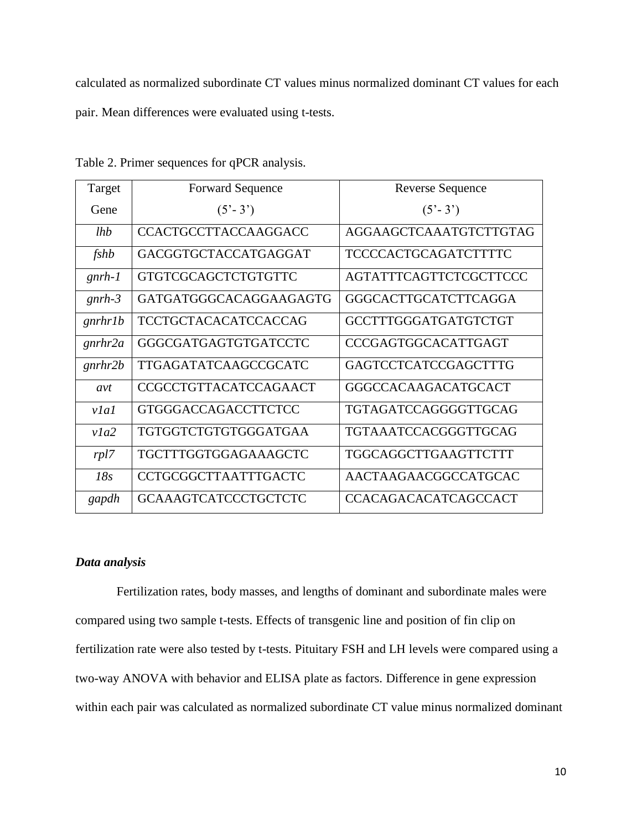calculated as normalized subordinate CT values minus normalized dominant CT values for each pair. Mean differences were evaluated using t-tests.

| Target   | <b>Forward Sequence</b>      | Reverse Sequence              |
|----------|------------------------------|-------------------------------|
| Gene     | $(5^{\circ} - 3^{\circ})$    | $(5'-3')$                     |
| lhb      | <b>CCACTGCCTTACCAAGGACC</b>  | AGGAAGCTCAAATGTCTTGTAG        |
| fshb     | GACGGTGCTACCATGAGGAT         | <b>TCCCCACTGCAGATCTTTTC</b>   |
| $gnrh-1$ | <b>GTGTCGCAGCTCTGTGTTC</b>   | <b>AGTATTTCAGTTCTCGCTTCCC</b> |
| $gnrh-3$ | GATGATGGGCACAGGAAGAGTG       | GGGCACTTGCATCTTCAGGA          |
| gnrhr1b  | <b>TCCTGCTACACATCCACCAG</b>  | GCCTTTGGGATGATGTCTGT          |
| gnrhr2a  | GGGCGATGAGTGTGATCCTC         | <b>CCCGAGTGGCACATTGAGT</b>    |
| gnrhr2b  | TTGAGATATCAAGCCGCATC         | <b>GAGTCCTCATCCGAGCTTTG</b>   |
| avt      | <b>CCGCCTGTTACATCCAGAACT</b> | <b>GGGCCACAAGACATGCACT</b>    |
| v1a1     | <b>GTGGGACCAGACCTTCTCC</b>   | TGTAGATCCAGGGGTTGCAG          |
| v1a2     | TGTGGTCTGTGTGGGATGAA         | TGTAAATCCACGGGTTGCAG          |
| rpl7     | TGCTTTGGTGGAGAAAGCTC         | TGGCAGGCTTGAAGTTCTTT          |
| 18s      | CCTGCGGCTTAATTTGACTC         | AACTAAGAACGGCCATGCAC          |
| gapdh    | <b>GCAAAGTCATCCCTGCTCTC</b>  | <b>CCACAGACACATCAGCCACT</b>   |

Table 2. Primer sequences for qPCR analysis.

# *Data analysis*

Fertilization rates, body masses, and lengths of dominant and subordinate males were compared using two sample t-tests. Effects of transgenic line and position of fin clip on fertilization rate were also tested by t-tests. Pituitary FSH and LH levels were compared using a two-way ANOVA with behavior and ELISA plate as factors. Difference in gene expression within each pair was calculated as normalized subordinate CT value minus normalized dominant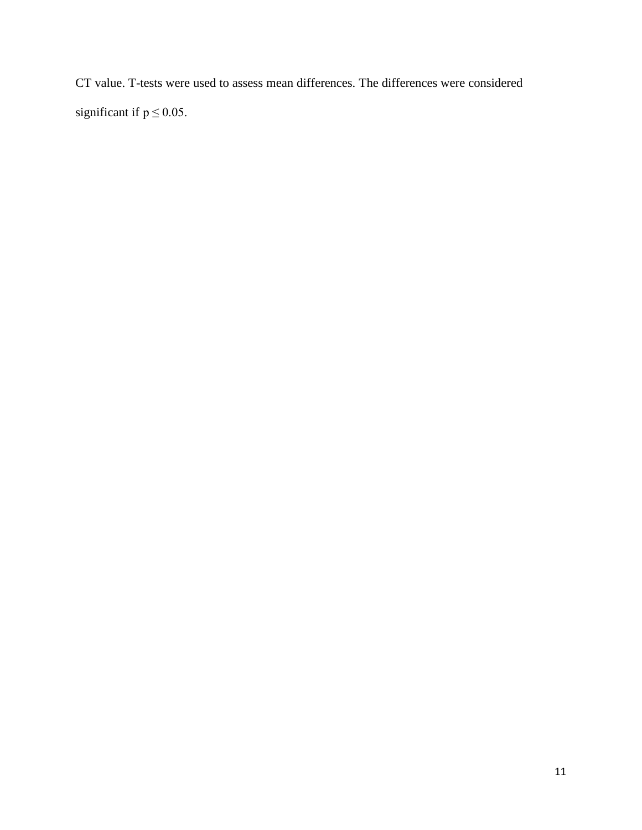CT value. T-tests were used to assess mean differences. The differences were considered significant if  $p \le 0.05$ .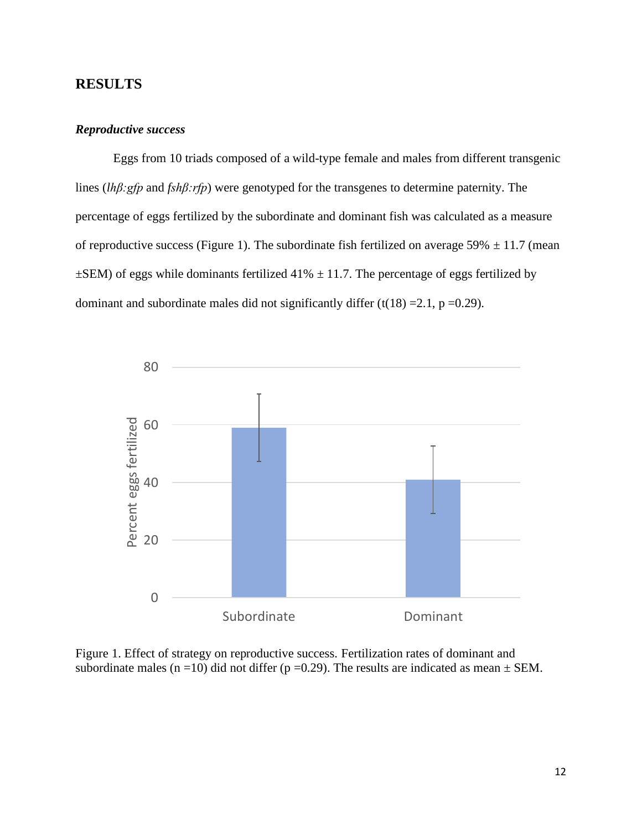# **RESULTS**

#### *Reproductive success*

Eggs from 10 triads composed of a wild-type female and males from different transgenic lines (*lhβ:gfp* and *fshβ:rfp*) were genotyped for the transgenes to determine paternity. The percentage of eggs fertilized by the subordinate and dominant fish was calculated as a measure of reproductive success (Figure 1). The subordinate fish fertilized on average 59%  $\pm$  11.7 (mean  $\pm$ SEM) of eggs while dominants fertilized 41%  $\pm$  11.7. The percentage of eggs fertilized by dominant and subordinate males did not significantly differ  $(t(18) = 2.1, p = 0.29)$ .



Figure 1. Effect of strategy on reproductive success. Fertilization rates of dominant and subordinate males (n =10) did not differ (p =0.29). The results are indicated as mean  $\pm$  SEM.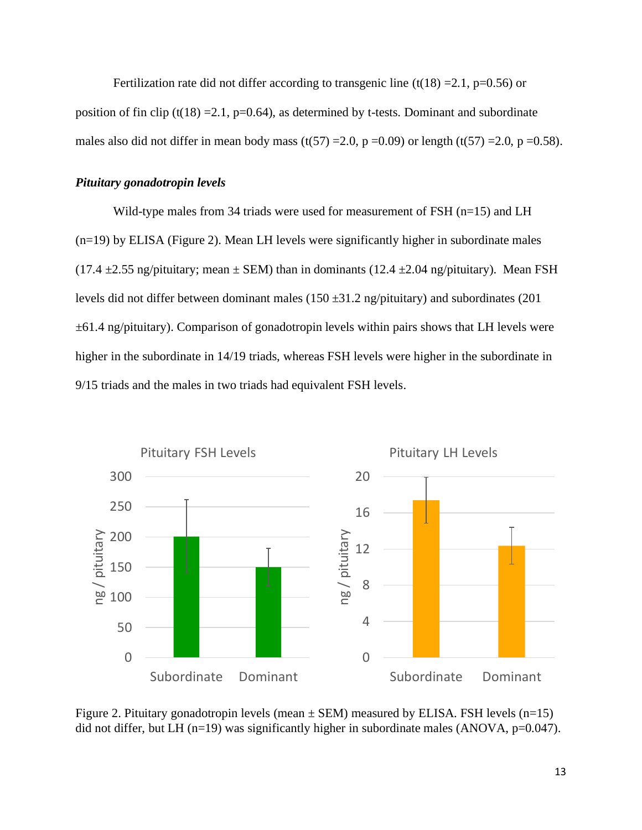Fertilization rate did not differ according to transgenic line  $(t(18) = 2.1, p=0.56)$  or position of fin clip (t(18) = 2.1, p=0.64), as determined by t-tests. Dominant and subordinate males also did not differ in mean body mass (t(57) = 2.0, p = 0.09) or length (t(57) = 2.0, p = 0.58).

#### *Pituitary gonadotropin levels*

Wild-type males from 34 triads were used for measurement of FSH  $(n=15)$  and LH (n=19) by ELISA (Figure 2). Mean LH levels were significantly higher in subordinate males (17.4 *±*2.55 ng/pituitary; mean *±* SEM) than in dominants (12.4 *±*2.04 ng/pituitary). Mean FSH levels did not differ between dominant males (150 *±*31.2 ng/pituitary) and subordinates (201 *±*61.4 ng/pituitary). Comparison of gonadotropin levels within pairs shows that LH levels were higher in the subordinate in 14/19 triads, whereas FSH levels were higher in the subordinate in 9/15 triads and the males in two triads had equivalent FSH levels.



Figure 2. Pituitary gonadotropin levels (mean  $\pm$  SEM) measured by ELISA. FSH levels (n=15) did not differ, but LH (n=19) was significantly higher in subordinate males (ANOVA, p= $0.047$ ).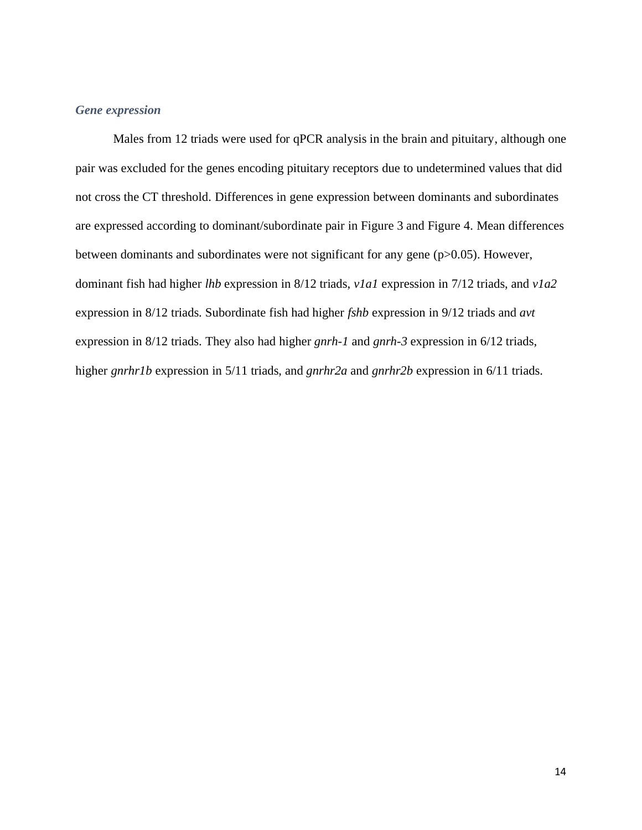# *Gene expression*

Males from 12 triads were used for qPCR analysis in the brain and pituitary, although one pair was excluded for the genes encoding pituitary receptors due to undetermined values that did not cross the CT threshold. Differences in gene expression between dominants and subordinates are expressed according to dominant/subordinate pair in Figure 3 and Figure 4. Mean differences between dominants and subordinates were not significant for any gene (p>0.05). However, dominant fish had higher *lhb* expression in 8/12 triads, *v1a1* expression in 7/12 triads, and *v1a2* expression in 8/12 triads. Subordinate fish had higher *fshb* expression in 9/12 triads and *avt* expression in 8/12 triads. They also had higher *gnrh-1* and *gnrh-3* expression in 6/12 triads, higher *gnrhr1b* expression in 5/11 triads, and *gnrhr2a* and *gnrhr2b* expression in 6/11 triads.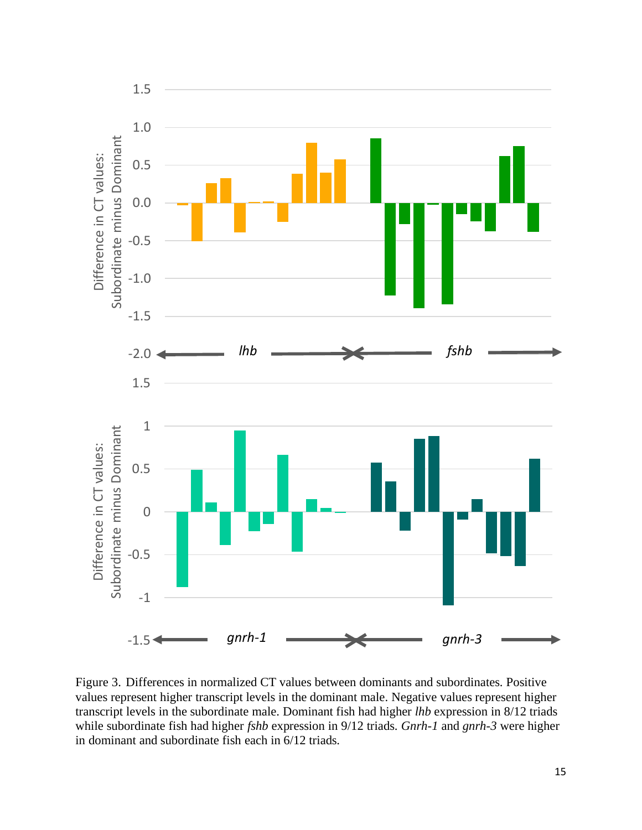

Figure 3. Differences in normalized CT values between dominants and subordinates. Positive values represent higher transcript levels in the dominant male. Negative values represent higher transcript levels in the subordinate male. Dominant fish had higher *lhb* expression in 8/12 triads while subordinate fish had higher *fshb* expression in 9/12 triads. *Gnrh-1* and *gnrh-3* were higher in dominant and subordinate fish each in 6/12 triads.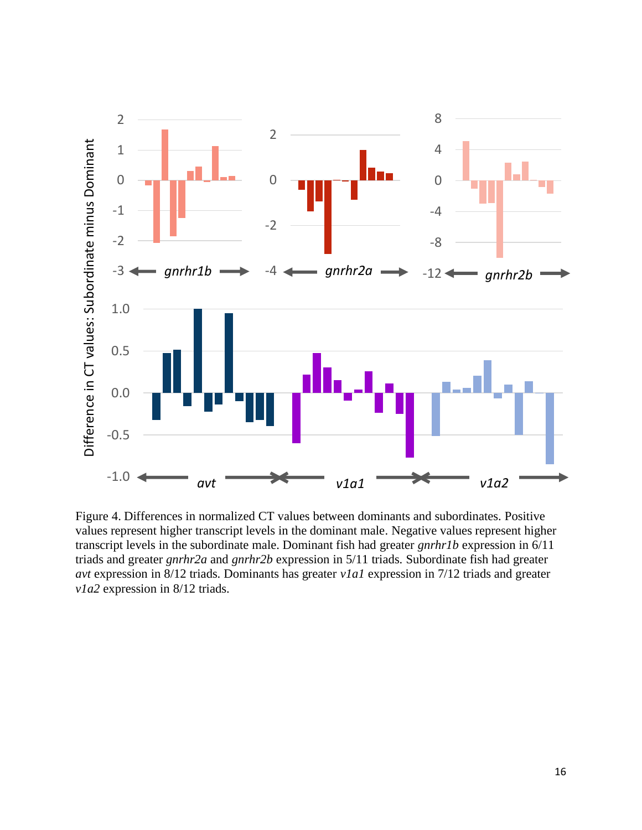

Figure 4. Differences in normalized CT values between dominants and subordinates. Positive values represent higher transcript levels in the dominant male. Negative values represent higher transcript levels in the subordinate male. Dominant fish had greater *gnrhr1b* expression in 6/11 triads and greater *gnrhr2a* and *gnrhr2b* expression in 5/11 triads. Subordinate fish had greater *avt* expression in 8/12 triads. Dominants has greater *v1a1* expression in 7/12 triads and greater *v1a2* expression in 8/12 triads.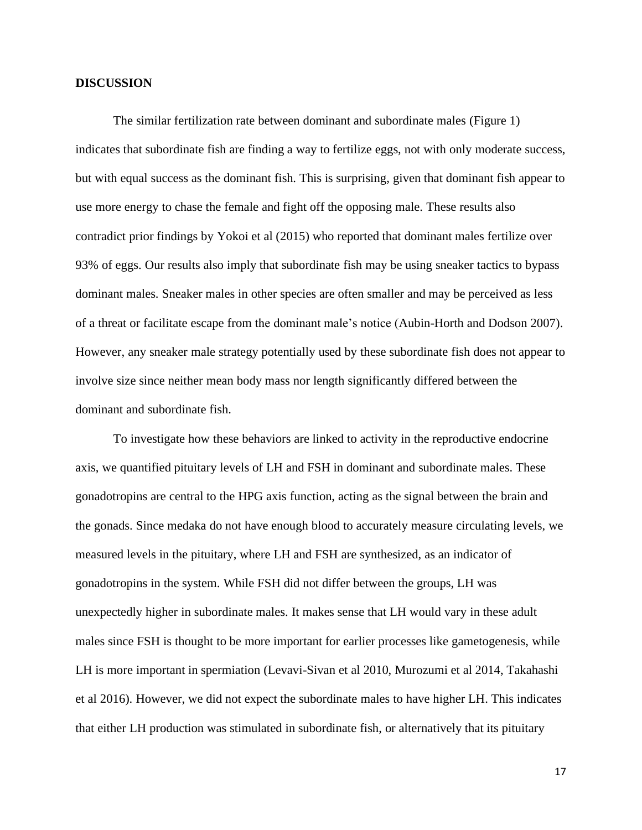#### **DISCUSSION**

The similar fertilization rate between dominant and subordinate males (Figure 1) indicates that subordinate fish are finding a way to fertilize eggs, not with only moderate success, but with equal success as the dominant fish. This is surprising, given that dominant fish appear to use more energy to chase the female and fight off the opposing male. These results also contradict prior findings by Yokoi et al (2015) who reported that dominant males fertilize over 93% of eggs. Our results also imply that subordinate fish may be using sneaker tactics to bypass dominant males. Sneaker males in other species are often smaller and may be perceived as less of a threat or facilitate escape from the dominant male's notice (Aubin-Horth and Dodson 2007). However, any sneaker male strategy potentially used by these subordinate fish does not appear to involve size since neither mean body mass nor length significantly differed between the dominant and subordinate fish.

To investigate how these behaviors are linked to activity in the reproductive endocrine axis, we quantified pituitary levels of LH and FSH in dominant and subordinate males. These gonadotropins are central to the HPG axis function, acting as the signal between the brain and the gonads. Since medaka do not have enough blood to accurately measure circulating levels, we measured levels in the pituitary, where LH and FSH are synthesized, as an indicator of gonadotropins in the system. While FSH did not differ between the groups, LH was unexpectedly higher in subordinate males. It makes sense that LH would vary in these adult males since FSH is thought to be more important for earlier processes like gametogenesis, while LH is more important in spermiation (Levavi-Sivan et al 2010, Murozumi et al 2014, Takahashi et al 2016). However, we did not expect the subordinate males to have higher LH. This indicates that either LH production was stimulated in subordinate fish, or alternatively that its pituitary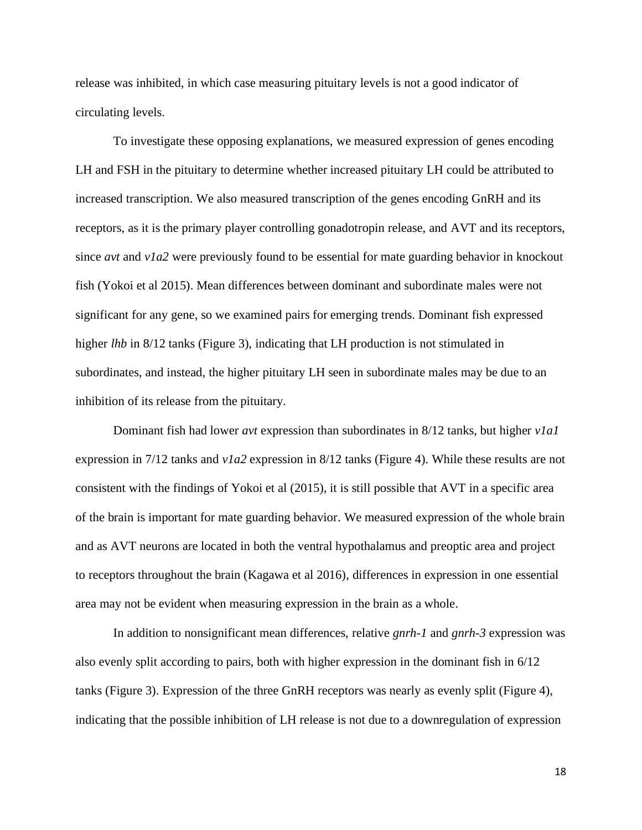release was inhibited, in which case measuring pituitary levels is not a good indicator of circulating levels.

To investigate these opposing explanations, we measured expression of genes encoding LH and FSH in the pituitary to determine whether increased pituitary LH could be attributed to increased transcription. We also measured transcription of the genes encoding GnRH and its receptors, as it is the primary player controlling gonadotropin release, and AVT and its receptors, since *avt* and *v1a2* were previously found to be essential for mate guarding behavior in knockout fish (Yokoi et al 2015). Mean differences between dominant and subordinate males were not significant for any gene, so we examined pairs for emerging trends. Dominant fish expressed higher *lhb* in 8/12 tanks (Figure 3), indicating that LH production is not stimulated in subordinates, and instead, the higher pituitary LH seen in subordinate males may be due to an inhibition of its release from the pituitary.

Dominant fish had lower *avt* expression than subordinates in 8/12 tanks, but higher *v1a1* expression in 7/12 tanks and *v1a2* expression in 8/12 tanks (Figure 4). While these results are not consistent with the findings of Yokoi et al (2015), it is still possible that AVT in a specific area of the brain is important for mate guarding behavior. We measured expression of the whole brain and as AVT neurons are located in both the ventral hypothalamus and preoptic area and project to receptors throughout the brain (Kagawa et al 2016), differences in expression in one essential area may not be evident when measuring expression in the brain as a whole.

In addition to nonsignificant mean differences, relative *gnrh-1* and *gnrh-3* expression was also evenly split according to pairs, both with higher expression in the dominant fish in 6/12 tanks (Figure 3). Expression of the three GnRH receptors was nearly as evenly split (Figure 4), indicating that the possible inhibition of LH release is not due to a downregulation of expression

18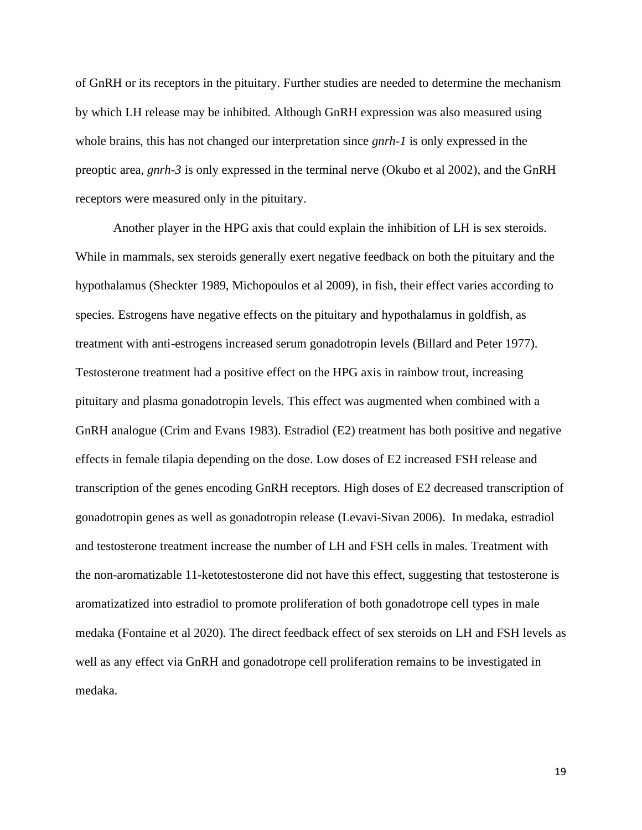of GnRH or its receptors in the pituitary. Further studies are needed to determine the mechanism by which LH release may be inhibited. Although GnRH expression was also measured using whole brains, this has not changed our interpretation since *gnrh-1* is only expressed in the preoptic area, *gnrh-3* is only expressed in the terminal nerve (Okubo et al 2002), and the GnRH receptors were measured only in the pituitary.

Another player in the HPG axis that could explain the inhibition of LH is sex steroids. While in mammals, sex steroids generally exert negative feedback on both the pituitary and the hypothalamus (Sheckter 1989, Michopoulos et al 2009), in fish, their effect varies according to species. Estrogens have negative effects on the pituitary and hypothalamus in goldfish, as treatment with anti-estrogens increased serum gonadotropin levels (Billard and Peter 1977). Testosterone treatment had a positive effect on the HPG axis in rainbow trout, increasing pituitary and plasma gonadotropin levels. This effect was augmented when combined with a GnRH analogue (Crim and Evans 1983). Estradiol (E2) treatment has both positive and negative effects in female tilapia depending on the dose. Low doses of E2 increased FSH release and transcription of the genes encoding GnRH receptors. High doses of E2 decreased transcription of gonadotropin genes as well as gonadotropin release (Levavi-Sivan 2006). In medaka, estradiol and testosterone treatment increase the number of LH and FSH cells in males. Treatment with the non-aromatizable 11-ketotestosterone did not have this effect, suggesting that testosterone is aromatizatized into estradiol to promote proliferation of both gonadotrope cell types in male medaka (Fontaine et al 2020). The direct feedback effect of sex steroids on LH and FSH levels as well as any effect via GnRH and gonadotrope cell proliferation remains to be investigated in medaka.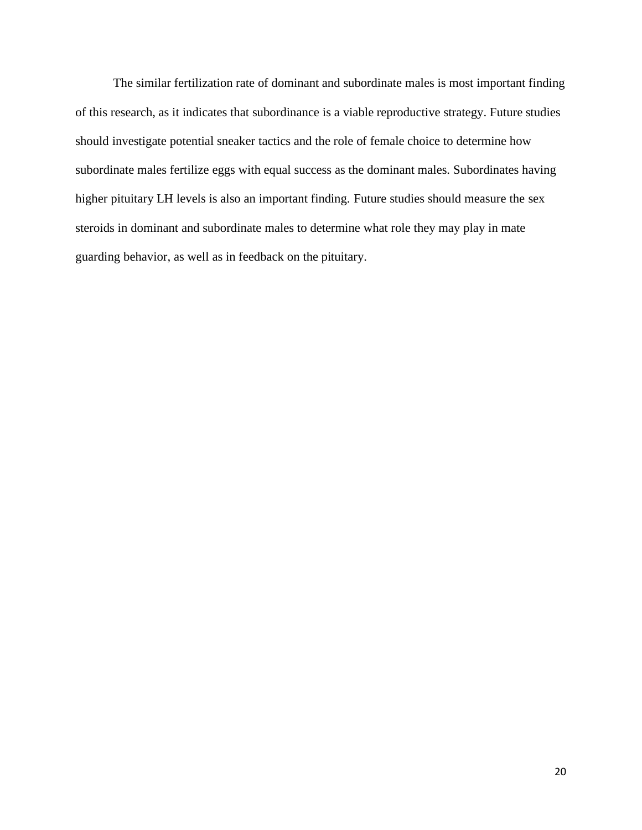The similar fertilization rate of dominant and subordinate males is most important finding of this research, as it indicates that subordinance is a viable reproductive strategy. Future studies should investigate potential sneaker tactics and the role of female choice to determine how subordinate males fertilize eggs with equal success as the dominant males. Subordinates having higher pituitary LH levels is also an important finding. Future studies should measure the sex steroids in dominant and subordinate males to determine what role they may play in mate guarding behavior, as well as in feedback on the pituitary.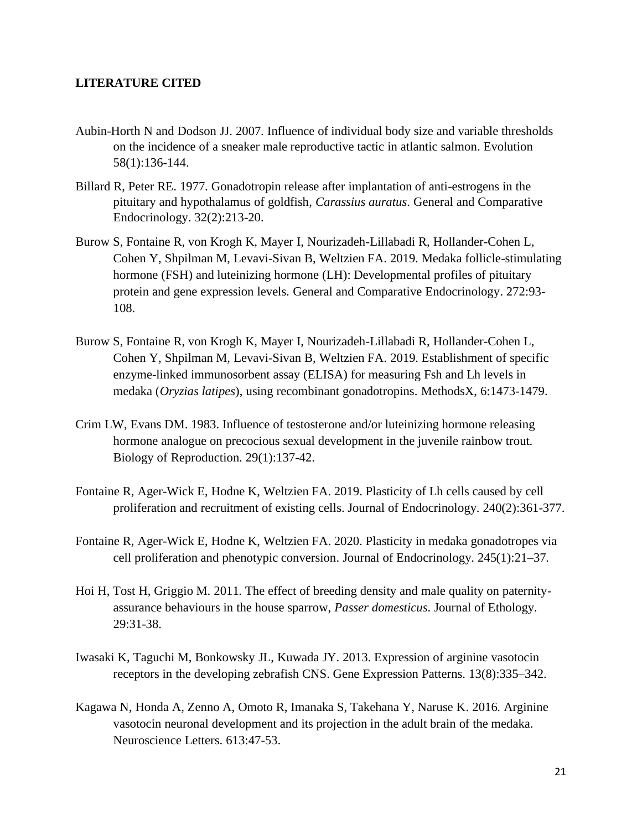#### **LITERATURE CITED**

- Aubin-Horth N and Dodson JJ. 2007. Influence of individual body size and variable thresholds on the incidence of a sneaker male reproductive tactic in atlantic salmon. Evolution 58(1):136-144.
- Billard R, Peter RE. 1977. Gonadotropin release after implantation of anti-estrogens in the pituitary and hypothalamus of goldfish, *Carassius auratus*. General and Comparative Endocrinology. 32(2):213-20.
- Burow S, Fontaine R, von Krogh K, Mayer I, Nourizadeh-Lillabadi R, Hollander-Cohen L, Cohen Y, Shpilman M, Levavi-Sivan B, Weltzien FA. 2019. Medaka follicle-stimulating hormone (FSH) and luteinizing hormone (LH): Developmental profiles of pituitary protein and gene expression levels. General and Comparative Endocrinology. 272:93- 108.
- Burow S, Fontaine R, von Krogh K, Mayer I, Nourizadeh-Lillabadi R, Hollander-Cohen L, Cohen Y, Shpilman M, Levavi-Sivan B, Weltzien FA. 2019. Establishment of specific enzyme-linked immunosorbent assay (ELISA) for measuring Fsh and Lh levels in medaka (*Oryzias latipes*), using recombinant gonadotropins. MethodsX, 6:1473-1479.
- Crim LW, Evans DM. 1983. Influence of testosterone and/or luteinizing hormone releasing hormone analogue on precocious sexual development in the juvenile rainbow trout. Biology of Reproduction. 29(1):137-42.
- Fontaine R, Ager-Wick E, Hodne K, Weltzien FA. 2019. Plasticity of Lh cells caused by cell proliferation and recruitment of existing cells. Journal of Endocrinology. 240(2):361-377.
- Fontaine R, Ager-Wick E, Hodne K, Weltzien FA. 2020. Plasticity in medaka gonadotropes via cell proliferation and phenotypic conversion. Journal of Endocrinology. 245(1):21–37.
- Hoi H, Tost H, Griggio M. 2011. The effect of breeding density and male quality on paternityassurance behaviours in the house sparrow, *Passer domesticus*. Journal of Ethology. 29:31-38.
- Iwasaki K, Taguchi M, Bonkowsky JL, Kuwada JY. 2013. Expression of arginine vasotocin receptors in the developing zebrafish CNS. Gene Expression Patterns. 13(8):335–342.
- Kagawa N, Honda A, Zenno A, Omoto R, Imanaka S, Takehana Y, Naruse K. 2016. Arginine vasotocin neuronal development and its projection in the adult brain of the medaka. Neuroscience Letters. 613:47-53.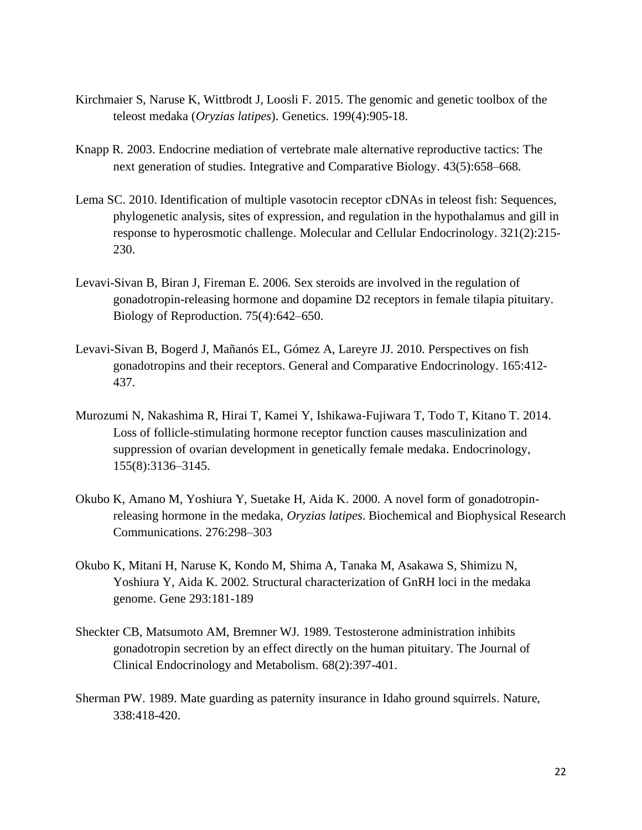- Kirchmaier S, Naruse K, Wittbrodt J, Loosli F. 2015. The genomic and genetic toolbox of the teleost medaka (*Oryzias latipes*). Genetics. 199(4):905-18.
- Knapp R. 2003. Endocrine mediation of vertebrate male alternative reproductive tactics: The next generation of studies. Integrative and Comparative Biology. 43(5):658–668.
- Lema SC. 2010. Identification of multiple vasotocin receptor cDNAs in teleost fish: Sequences, phylogenetic analysis, sites of expression, and regulation in the hypothalamus and gill in response to hyperosmotic challenge. Molecular and Cellular Endocrinology. 321(2):215- 230.
- Levavi-Sivan B, Biran J, Fireman E. 2006. Sex steroids are involved in the regulation of gonadotropin-releasing hormone and dopamine D2 receptors in female tilapia pituitary. Biology of Reproduction. 75(4):642–650.
- Levavi-Sivan B, Bogerd J, Mañanós EL, Gómez A, Lareyre JJ. 2010. Perspectives on fish gonadotropins and their receptors. General and Comparative Endocrinology. 165:412- 437.
- Murozumi N, Nakashima R, Hirai T, Kamei Y, Ishikawa-Fujiwara T, Todo T, Kitano T. 2014. Loss of follicle-stimulating hormone receptor function causes masculinization and suppression of ovarian development in genetically female medaka. Endocrinology, 155(8):3136–3145.
- Okubo K, Amano M, Yoshiura Y, Suetake H, Aida K. 2000. A novel form of gonadotropinreleasing hormone in the medaka, *Oryzias latipes*. Biochemical and Biophysical Research Communications. 276:298–303
- Okubo K, Mitani H, Naruse K, Kondo M, Shima A, Tanaka M, Asakawa S, Shimizu N, Yoshiura Y, Aida K. 2002. Structural characterization of GnRH loci in the medaka genome. Gene 293:181-189
- Sheckter CB, Matsumoto AM, Bremner WJ. 1989. Testosterone administration inhibits gonadotropin secretion by an effect directly on the human pituitary. The Journal of Clinical Endocrinology and Metabolism. 68(2):397-401.
- Sherman PW. 1989. Mate guarding as paternity insurance in Idaho ground squirrels. Nature, 338:418-420.